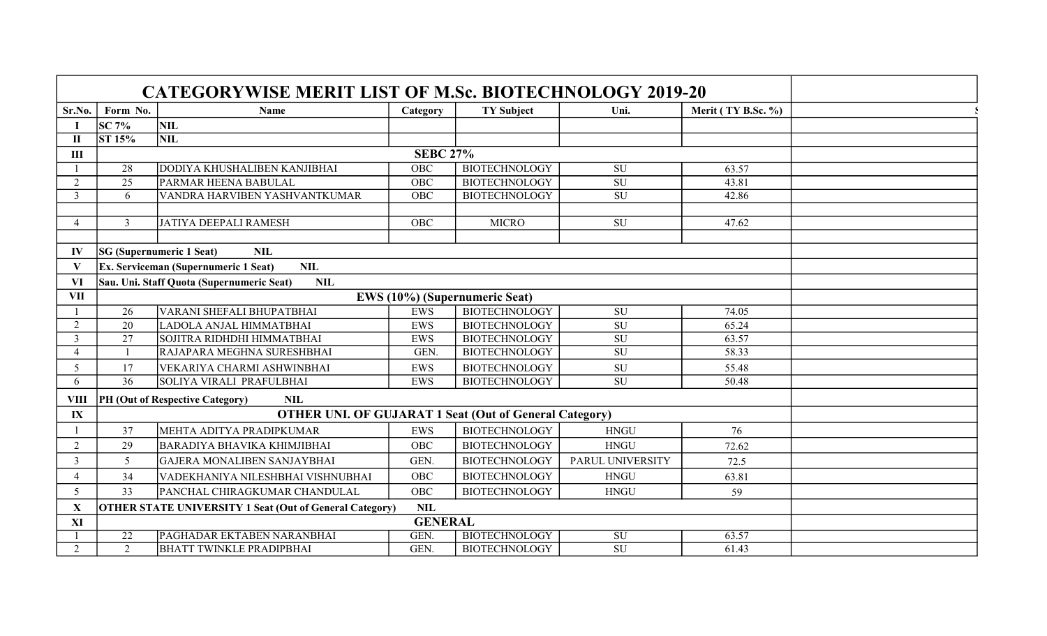|                             |                                                           | <b>CATEGORYWISE MERIT LIST OF M.Sc. BIOTECHNOLOGY 2019-20</b>  |                   |                      |                          |                    |  |  |  |  |  |
|-----------------------------|-----------------------------------------------------------|----------------------------------------------------------------|-------------------|----------------------|--------------------------|--------------------|--|--|--|--|--|
| Sr.No.                      | Form No.                                                  | Name                                                           | Category          | <b>TY Subject</b>    | Uni.                     | Merit (TY B.Sc. %) |  |  |  |  |  |
|                             | <b>SC 7%</b>                                              | <b>NIL</b>                                                     |                   |                      |                          |                    |  |  |  |  |  |
| п                           | <b>ST 15%</b>                                             | <b>NIL</b>                                                     |                   |                      |                          |                    |  |  |  |  |  |
| III                         | <b>SEBC 27%</b>                                           |                                                                |                   |                      |                          |                    |  |  |  |  |  |
|                             | 28                                                        | DODIYA KHUSHALIBEN KANJIBHAI                                   | OBC               | <b>BIOTECHNOLOGY</b> | SU                       | 63.57              |  |  |  |  |  |
| $\mathcal{D}_{\mathcal{L}}$ | $\overline{25}$                                           | <b>PARMAR HEENA BABULAL</b>                                    | $\overline{O}$ BC | <b>BIOTECHNOLOGY</b> | $\overline{SU}$          | 43.81              |  |  |  |  |  |
| 3                           | 6                                                         | VANDRA HARVIBEN YASHVANTKUMAR                                  | OBC               | <b>BIOTECHNOLOGY</b> | <b>SU</b>                | 42.86              |  |  |  |  |  |
|                             |                                                           |                                                                |                   |                      |                          |                    |  |  |  |  |  |
| $\overline{4}$              | $\overline{3}$                                            | JATIYA DEEPALI RAMESH                                          | <b>OBC</b>        | <b>MICRO</b>         | $\overline{SU}$          | 47.62              |  |  |  |  |  |
|                             |                                                           |                                                                |                   |                      |                          |                    |  |  |  |  |  |
| IV                          | <b>NIL</b><br><b>SG</b> (Supernumeric 1 Seat)             |                                                                |                   |                      |                          |                    |  |  |  |  |  |
|                             | <b>Ex.</b> Serviceman (Supernumeric 1 Seat)<br><b>NIL</b> |                                                                |                   |                      |                          |                    |  |  |  |  |  |
| <b>VI</b>                   | Sau. Uni. Staff Quota (Supernumeric Seat)                 |                                                                |                   |                      |                          |                    |  |  |  |  |  |
| <b>VII</b>                  |                                                           |                                                                |                   |                      |                          |                    |  |  |  |  |  |
|                             | 26                                                        | <b>VARANI SHEFALI BHUPATBHAI</b>                               | <b>EWS</b>        | <b>BIOTECHNOLOGY</b> | SU                       | 74.05              |  |  |  |  |  |
| $\overline{2}$              | 20                                                        | LADOLA ANJAL HIMMATBHAI                                        | <b>EWS</b>        | <b>BIOTECHNOLOGY</b> | <b>SU</b>                | 65.24              |  |  |  |  |  |
| $\mathfrak{Z}$              | 27                                                        | SOJITRA RIDHDHI HIMMATBHAI                                     | <b>EWS</b>        | <b>BIOTECHNOLOGY</b> | $\overline{\mathrm{SU}}$ | 63.57              |  |  |  |  |  |
| 4                           |                                                           | RAJAPARA MEGHNA SURESHBHAI                                     | GEN.              | <b>BIOTECHNOLOGY</b> | $\overline{SU}$          | 58.33              |  |  |  |  |  |
| 5                           | 17                                                        | VEKARIYA CHARMI ASHWINBHAI                                     | <b>EWS</b>        | <b>BIOTECHNOLOGY</b> | <b>SU</b>                | 55.48              |  |  |  |  |  |
| 6                           | 36                                                        | SOLIYA VIRALI PRAFULBHAI                                       | EWS               | <b>BIOTECHNOLOGY</b> | <b>SU</b>                | 50.48              |  |  |  |  |  |
| <b>VIII</b>                 |                                                           | PH (Out of Respective Category)<br><b>NIL</b>                  |                   |                      |                          |                    |  |  |  |  |  |
| $\mathbf{I} \mathbf{X}$     |                                                           | <b>OTHER UNI. OF GUJARAT 1 Seat (Out of General Category)</b>  |                   |                      |                          |                    |  |  |  |  |  |
|                             | 37                                                        | MEHTA ADITYA PRADIPKUMAR                                       | <b>EWS</b>        | <b>BIOTECHNOLOGY</b> | <b>HNGU</b>              | 76                 |  |  |  |  |  |
| $\overline{2}$              | 29                                                        | BARADIYA BHAVIKA KHIMJIBHAI                                    | OBC               | <b>BIOTECHNOLOGY</b> | <b>HNGU</b>              | 72.62              |  |  |  |  |  |
| 3                           | 5                                                         | GAJERA MONALIBEN SANJAYBHAI                                    | GEN.              | <b>BIOTECHNOLOGY</b> | PARUL UNIVERSITY         | 72.5               |  |  |  |  |  |
|                             | 34                                                        | VADEKHANIYA NILESHBHAI VISHNUBHAI                              | OBC               | <b>BIOTECHNOLOGY</b> | <b>HNGU</b>              | 63.81              |  |  |  |  |  |
| 5                           | 33                                                        | PANCHAL CHIRAGKUMAR CHANDULAL                                  | <b>OBC</b>        | <b>BIOTECHNOLOGY</b> | <b>HNGU</b>              | 59                 |  |  |  |  |  |
| $\mathbf X$                 |                                                           | <b>OTHER STATE UNIVERSITY 1 Seat (Out of General Category)</b> | <b>NIL</b>        |                      |                          |                    |  |  |  |  |  |
| XI                          | <b>GENERAL</b>                                            |                                                                |                   |                      |                          |                    |  |  |  |  |  |
|                             | $\overline{22}$                                           | <b>PAGHADAR EKTABEN NARANBHAI</b>                              | GEN.              | <b>BIOTECHNOLOGY</b> | SU                       | 63.57              |  |  |  |  |  |
| $\overline{2}$              | 2                                                         | <b>BHATT TWINKLE PRADIPBHAI</b>                                | GEN.              | <b>BIOTECHNOLOGY</b> | $\overline{\mathrm{SU}}$ | 61.43              |  |  |  |  |  |